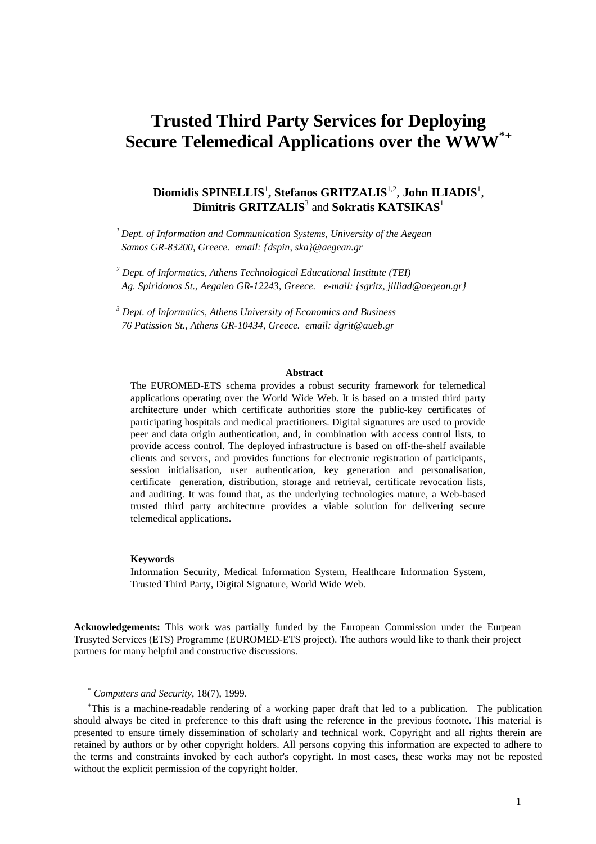# **Trusted Third Party Services for Deploying Secure Telemedical Applications over the WWW\*+**

# **Diomidis SPINELLIS**<sup>1</sup> **, Stefanos GRITZALIS**1,2 , **John ILIADIS**<sup>1</sup> , **Dimitris GRITZALIS**<sup>3</sup> and **Sokratis KATSIKAS**<sup>1</sup>

*<sup>1</sup>Dept. of Information and Communication Systems, University of the Aegean Samos GR-83200, Greece. email: {dspin, ska}@aegean.gr*

*2 Dept. of Informatics, Athens Technological Educational Institute (TEI) Ag. Spiridonos St., Aegaleo GR-12243, Greece. e-mail: {sgritz, jilliad@aegean.gr}*

*3 Dept. of Informatics, Athens University of Economics and Business 76 Patission St., Athens GR-10434, Greece. email: dgrit@aueb.gr*

#### **Abstract**

The EUROMED-ETS schema provides a robust security framework for telemedical applications operating over the World Wide Web. It is based on a trusted third party architecture under which certificate authorities store the public-key certificates of participating hospitals and medical practitioners. Digital signatures are used to provide peer and data origin authentication, and, in combination with access control lists, to provide access control. The deployed infrastructure is based on off-the-shelf available clients and servers, and provides functions for electronic registration of participants, session initialisation, user authentication, key generation and personalisation, certificate generation, distribution, storage and retrieval, certificate revocation lists, and auditing. It was found that, as the underlying technologies mature, a Web-based trusted third party architecture provides a viable solution for delivering secure telemedical applications.

#### **Keywords**

Information Security, Medical Information System, Healthcare Information System, Trusted Third Party, Digital Signature, World Wide Web.

**Acknowledgements:** This work was partially funded by the European Commission under the Eurpean Trusyted Services (ETS) Programme (EUROMED-ETS project). The authors would like to thank their project partners for many helpful and constructive discussions.

 $\overline{a}$ 

<sup>\*</sup> *Computers and Security*, 18(7), 1999.

<sup>+</sup>This is a machine-readable rendering of a working paper draft that led to a publication. The publication should always be cited in preference to this draft using the reference in the previous footnote. This material is presented to ensure timely dissemination of scholarly and technical work. Copyright and all rights therein are retained by authors or by other copyright holders. All persons copying this information are expected to adhere to the terms and constraints invoked by each author's copyright. In most cases, these works may not be reposted without the explicit permission of the copyright holder.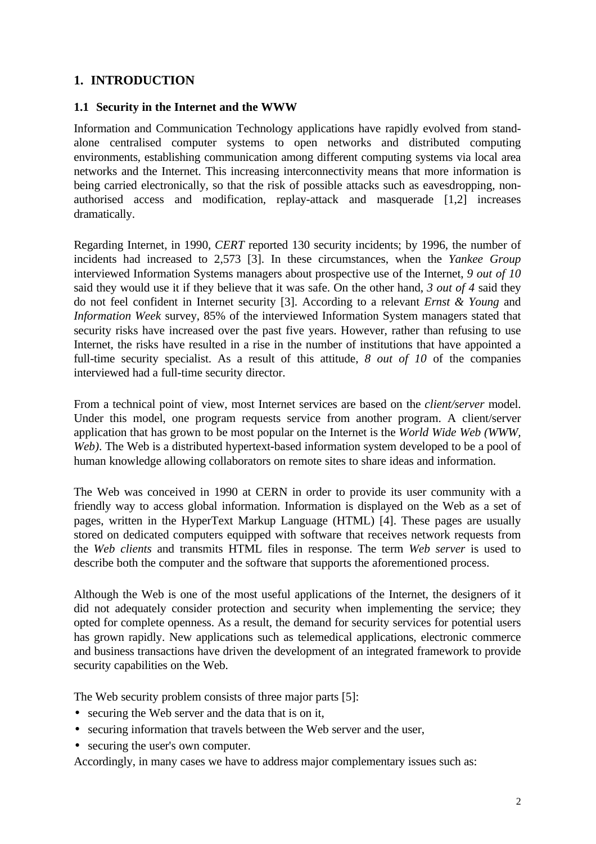# **1. INTRODUCTION**

#### **1.1 Security in the Internet and the WWW**

Information and Communication Technology applications have rapidly evolved from standalone centralised computer systems to open networks and distributed computing environments, establishing communication among different computing systems via local area networks and the Internet. This increasing interconnectivity means that more information is being carried electronically, so that the risk of possible attacks such as eavesdropping, nonauthorised access and modification, replay-attack and masquerade [1,2] increases dramatically.

Regarding Internet, in 1990, *CERT* reported 130 security incidents; by 1996, the number of incidents had increased to 2,573 [3]. In these circumstances, when the *Yankee Group* interviewed Information Systems managers about prospective use of the Internet, *9 out of 10* said they would use it if they believe that it was safe. On the other hand, *3 out of 4* said they do not feel confident in Internet security [3]. According to a relevant *Ernst & Young* and *Information Week* survey, 85% of the interviewed Information System managers stated that security risks have increased over the past five years. However, rather than refusing to use Internet, the risks have resulted in a rise in the number of institutions that have appointed a full-time security specialist. As a result of this attitude, *8 out of 10* of the companies interviewed had a full-time security director.

From a technical point of view, most Internet services are based on the *client/server* model. Under this model, one program requests service from another program. A client/server application that has grown to be most popular on the Internet is the *World Wide Web (WWW, Web)*. The Web is a distributed hypertext-based information system developed to be a pool of human knowledge allowing collaborators on remote sites to share ideas and information.

The Web was conceived in 1990 at CERN in order to provide its user community with a friendly way to access global information. Information is displayed on the Web as a set of pages, written in the HyperText Markup Language (HTML) [4]. These pages are usually stored on dedicated computers equipped with software that receives network requests from the *Web clients* and transmits HTML files in response. The term *Web server* is used to describe both the computer and the software that supports the aforementioned process.

Although the Web is one of the most useful applications of the Internet, the designers of it did not adequately consider protection and security when implementing the service; they opted for complete openness. As a result, the demand for security services for potential users has grown rapidly. New applications such as telemedical applications, electronic commerce and business transactions have driven the development of an integrated framework to provide security capabilities on the Web.

The Web security problem consists of three major parts [5]:

- securing the Web server and the data that is on it,
- securing information that travels between the Web server and the user,
- securing the user's own computer.

Accordingly, in many cases we have to address major complementary issues such as: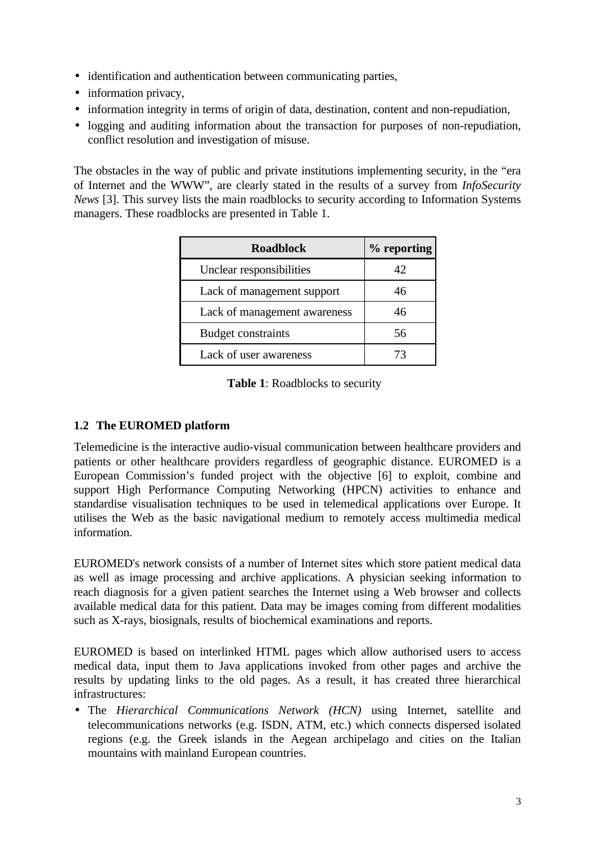- identification and authentication between communicating parties,
- information privacy,
- information integrity in terms of origin of data, destination, content and non-repudiation,
- logging and auditing information about the transaction for purposes of non-repudiation, conflict resolution and investigation of misuse.

The obstacles in the way of public and private institutions implementing security, in the "era of Internet and the WWW", are clearly stated in the results of a survey from *InfoSecurity News* [3]. This survey lists the main roadblocks to security according to Information Systems managers. These roadblocks are presented in Table 1.

| <b>Roadblock</b>             | % reporting |
|------------------------------|-------------|
| Unclear responsibilities     | 42          |
| Lack of management support   | 46          |
| Lack of management awareness | 46          |
| <b>Budget constraints</b>    | 56          |
| Lack of user awareness       | 73          |

**Table 1**: Roadblocks to security

# **1.2 The EUROMED platform**

Telemedicine is the interactive audio-visual communication between healthcare providers and patients or other healthcare providers regardless of geographic distance. EUROMED is a European Commission's funded project with the objective [6] to exploit, combine and support High Performance Computing Networking (HPCN) activities to enhance and standardise visualisation techniques to be used in telemedical applications over Europe. It utilises the Web as the basic navigational medium to remotely access multimedia medical information.

EUROMED's network consists of a number of Internet sites which store patient medical data as well as image processing and archive applications. A physician seeking information to reach diagnosis for a given patient searches the Internet using a Web browser and collects available medical data for this patient. Data may be images coming from different modalities such as X-rays, biosignals, results of biochemical examinations and reports.

EUROMED is based on interlinked HTML pages which allow authorised users to access medical data, input them to Java applications invoked from other pages and archive the results by updating links to the old pages. As a result, it has created three hierarchical infrastructures:

• The *Hierarchical Communications Network (HCN)* using Internet, satellite and telecommunications networks (e.g. ISDN, ATM, etc.) which connects dispersed isolated regions (e.g. the Greek islands in the Aegean archipelago and cities on the Italian mountains with mainland European countries.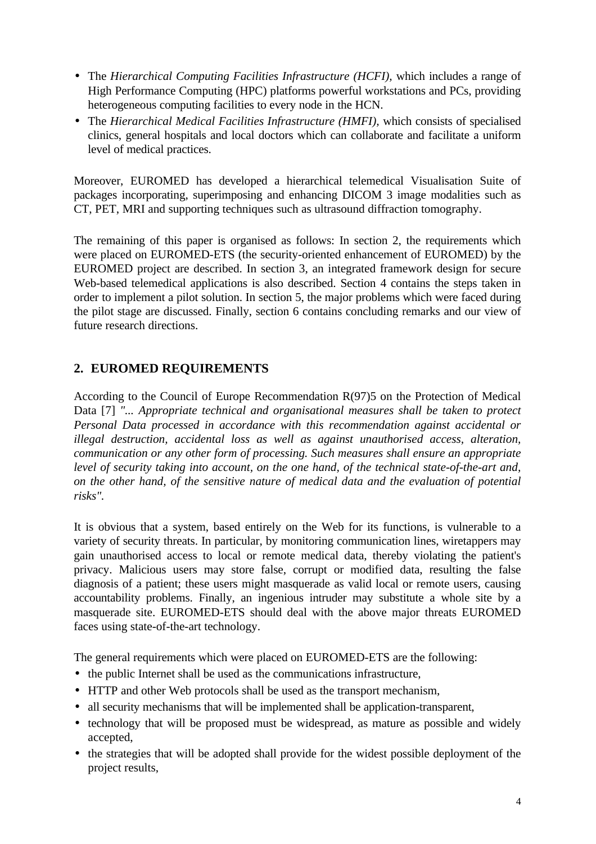- The *Hierarchical Computing Facilities Infrastructure (HCFI),* which includes a range of High Performance Computing (HPC) platforms powerful workstations and PCs, providing heterogeneous computing facilities to every node in the HCN.
- The *Hierarchical Medical Facilities Infrastructure (HMFI),* which consists of specialised clinics, general hospitals and local doctors which can collaborate and facilitate a uniform level of medical practices.

Moreover, EUROMED has developed a hierarchical telemedical Visualisation Suite of packages incorporating, superimposing and enhancing DICOM 3 image modalities such as CT, PET, MRI and supporting techniques such as ultrasound diffraction tomography.

The remaining of this paper is organised as follows: In section 2, the requirements which were placed on EUROMED-ETS (the security-oriented enhancement of EUROMED) by the EUROMED project are described. In section 3, an integrated framework design for secure Web-based telemedical applications is also described. Section 4 contains the steps taken in order to implement a pilot solution. In section 5, the major problems which were faced during the pilot stage are discussed. Finally, section 6 contains concluding remarks and our view of future research directions.

# **2. EUROMED REQUIREMENTS**

According to the Council of Europe Recommendation R(97)5 on the Protection of Medical Data [7] *"... Appropriate technical and organisational measures shall be taken to protect Personal Data processed in accordance with this recommendation against accidental or illegal destruction, accidental loss as well as against unauthorised access, alteration, communication or any other form of processing. Such measures shall ensure an appropriate level of security taking into account, on the one hand, of the technical state-of-the-art and, on the other hand, of the sensitive nature of medical data and the evaluation of potential risks".*

It is obvious that a system, based entirely on the Web for its functions, is vulnerable to a variety of security threats. In particular, by monitoring communication lines, wiretappers may gain unauthorised access to local or remote medical data, thereby violating the patient's privacy. Malicious users may store false, corrupt or modified data, resulting the false diagnosis of a patient; these users might masquerade as valid local or remote users, causing accountability problems. Finally, an ingenious intruder may substitute a whole site by a masquerade site. EUROMED-ETS should deal with the above major threats EUROMED faces using state-of-the-art technology.

The general requirements which were placed on EUROMED-ETS are the following:

- the public Internet shall be used as the communications infrastructure,
- HTTP and other Web protocols shall be used as the transport mechanism,
- all security mechanisms that will be implemented shall be application-transparent,
- technology that will be proposed must be widespread, as mature as possible and widely accepted,
- the strategies that will be adopted shall provide for the widest possible deployment of the project results,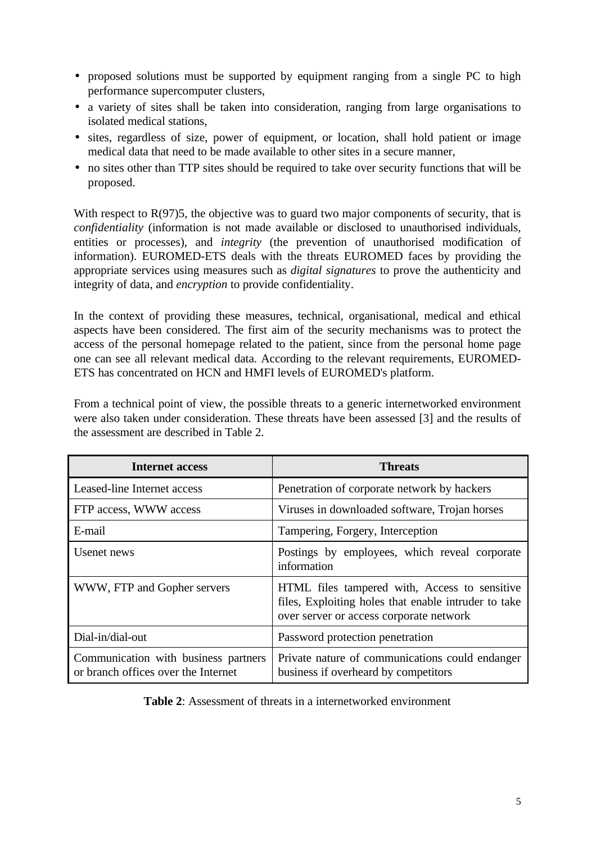- proposed solutions must be supported by equipment ranging from a single PC to high performance supercomputer clusters,
- a variety of sites shall be taken into consideration, ranging from large organisations to isolated medical stations,
- sites, regardless of size, power of equipment, or location, shall hold patient or image medical data that need to be made available to other sites in a secure manner,
- no sites other than TTP sites should be required to take over security functions that will be proposed.

With respect to R(97)5, the objective was to guard two major components of security, that is *confidentiality* (information is not made available or disclosed to unauthorised individuals, entities or processes), and *integrity* (the prevention of unauthorised modification of information). EUROMED-ETS deals with the threats EUROMED faces by providing the appropriate services using measures such as *digital signatures* to prove the authenticity and integrity of data, and *encryption* to provide confidentiality.

In the context of providing these measures, technical, organisational, medical and ethical aspects have been considered. The first aim of the security mechanisms was to protect the access of the personal homepage related to the patient, since from the personal home page one can see all relevant medical data. According to the relevant requirements, EUROMED-ETS has concentrated on HCN and HMFI levels of EUROMED's platform.

From a technical point of view, the possible threats to a generic internetworked environment were also taken under consideration. These threats have been assessed [3] and the results of the assessment are described in Table 2.

| <b>Internet access</b>                                                      | <b>Threats</b>                                                                                                                                   |
|-----------------------------------------------------------------------------|--------------------------------------------------------------------------------------------------------------------------------------------------|
| Leased-line Internet access                                                 | Penetration of corporate network by hackers                                                                                                      |
| FTP access, WWW access                                                      | Viruses in downloaded software, Trojan horses                                                                                                    |
| E-mail                                                                      | Tampering, Forgery, Interception                                                                                                                 |
| Usenet news                                                                 | Postings by employees, which reveal corporate<br>information                                                                                     |
| WWW, FTP and Gopher servers                                                 | HTML files tampered with, Access to sensitive<br>files, Exploiting holes that enable intruder to take<br>over server or access corporate network |
| Dial-in/dial-out                                                            | Password protection penetration                                                                                                                  |
| Communication with business partners<br>or branch offices over the Internet | Private nature of communications could endanger<br>business if overheard by competitors                                                          |

**Table 2**: Assessment of threats in a internetworked environment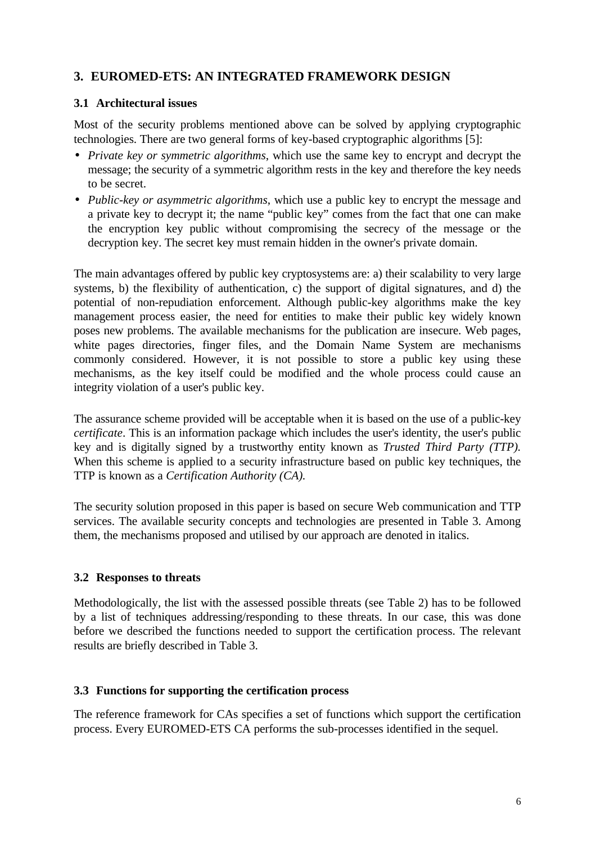# **3. EUROMED-ETS: AN INTEGRATED FRAMEWORK DESIGN**

#### **3.1 Architectural issues**

Most of the security problems mentioned above can be solved by applying cryptographic technologies. There are two general forms of key-based cryptographic algorithms [5]:

- *Private key or symmetric algorithms*, which use the same key to encrypt and decrypt the message; the security of a symmetric algorithm rests in the key and therefore the key needs to be secret.
- *Public-key or asymmetric algorithms*, which use a public key to encrypt the message and a private key to decrypt it; the name "public key" comes from the fact that one can make the encryption key public without compromising the secrecy of the message or the decryption key. The secret key must remain hidden in the owner's private domain.

The main advantages offered by public key cryptosystems are: a) their scalability to very large systems, b) the flexibility of authentication, c) the support of digital signatures, and d) the potential of non-repudiation enforcement. Although public-key algorithms make the key management process easier, the need for entities to make their public key widely known poses new problems. The available mechanisms for the publication are insecure. Web pages, white pages directories, finger files, and the Domain Name System are mechanisms commonly considered. However, it is not possible to store a public key using these mechanisms, as the key itself could be modified and the whole process could cause an integrity violation of a user's public key.

The assurance scheme provided will be acceptable when it is based on the use of a public-key *certificate*. This is an information package which includes the user's identity, the user's public key and is digitally signed by a trustworthy entity known as *Trusted Third Party (TTP).* When this scheme is applied to a security infrastructure based on public key techniques, the TTP is known as a *Certification Authority (CA).*

The security solution proposed in this paper is based on secure Web communication and TTP services. The available security concepts and technologies are presented in Table 3. Among them, the mechanisms proposed and utilised by our approach are denoted in italics.

## **3.2 Responses to threats**

Methodologically, the list with the assessed possible threats (see Table 2) has to be followed by a list of techniques addressing/responding to these threats. In our case, this was done before we described the functions needed to support the certification process. The relevant results are briefly described in Table 3.

#### **3.3 Functions for supporting the certification process**

The reference framework for CAs specifies a set of functions which support the certification process. Every EUROMED-ETS CA performs the sub-processes identified in the sequel.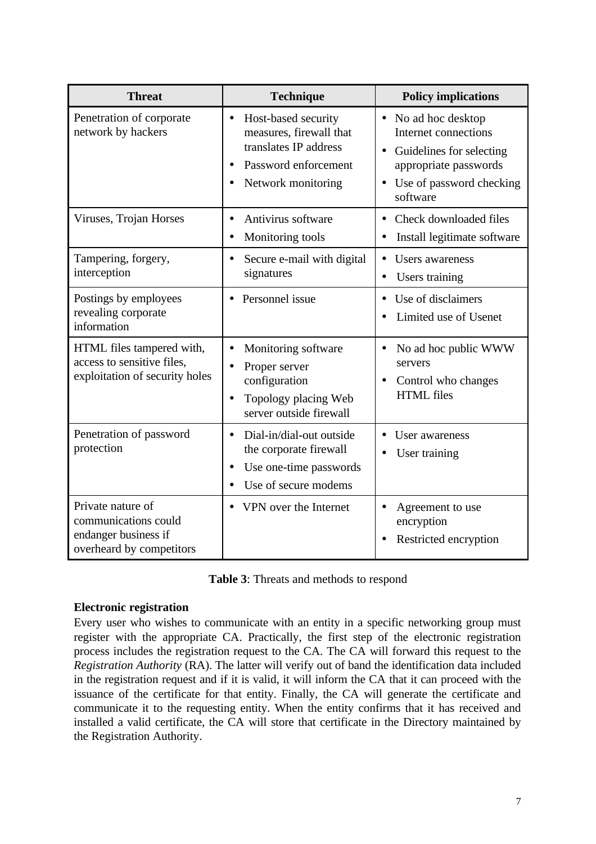| <b>Threat</b>                                                                                 | <b>Technique</b>                                                                                                                                             | <b>Policy implications</b>                                                                                                               |
|-----------------------------------------------------------------------------------------------|--------------------------------------------------------------------------------------------------------------------------------------------------------------|------------------------------------------------------------------------------------------------------------------------------------------|
| Penetration of corporate<br>network by hackers                                                | Host-based security<br>$\bullet$<br>measures, firewall that<br>translates IP address<br>Password enforcement<br>$\bullet$<br>Network monitoring<br>$\bullet$ | No ad hoc desktop<br>Internet connections<br>• Guidelines for selecting<br>appropriate passwords<br>Use of password checking<br>software |
| Viruses, Trojan Horses                                                                        | Antivirus software<br>$\bullet$<br>Monitoring tools<br>$\bullet$                                                                                             | Check downloaded files<br>Install legitimate software<br>٠                                                                               |
| Tampering, forgery,<br>interception                                                           | Secure e-mail with digital<br>$\bullet$<br>signatures                                                                                                        | Users awareness<br>Users training<br>$\bullet$                                                                                           |
| Postings by employees<br>revealing corporate<br>information                                   | Personnel issue<br>$\bullet$                                                                                                                                 | Use of disclaimers<br>Limited use of Usenet                                                                                              |
| HTML files tampered with,<br>access to sensitive files,<br>exploitation of security holes     | Monitoring software<br>$\bullet$<br>Proper server<br>$\bullet$<br>configuration<br>Topology placing Web<br>$\bullet$<br>server outside firewall              | No ad hoc public WWW<br>servers<br>Control who changes<br><b>HTML</b> files                                                              |
| Penetration of password<br>protection                                                         | Dial-in/dial-out outside<br>$\bullet$<br>the corporate firewall<br>Use one-time passwords<br>$\bullet$<br>Use of secure modems<br>$\bullet$                  | User awareness<br>User training                                                                                                          |
| Private nature of<br>communications could<br>endanger business if<br>overheard by competitors | VPN over the Internet<br>$\bullet$                                                                                                                           | Agreement to use<br>$\bullet$<br>encryption<br>Restricted encryption                                                                     |

| Table 3: Threats and methods to respond |
|-----------------------------------------|
|-----------------------------------------|

## **Electronic registration**

Every user who wishes to communicate with an entity in a specific networking group must register with the appropriate CA. Practically, the first step of the electronic registration process includes the registration request to the CA. The CA will forward this request to the *Registration Authority* (RA). The latter will verify out of band the identification data included in the registration request and if it is valid, it will inform the CA that it can proceed with the issuance of the certificate for that entity. Finally, the CA will generate the certificate and communicate it to the requesting entity. When the entity confirms that it has received and installed a valid certificate, the CA will store that certificate in the Directory maintained by the Registration Authority.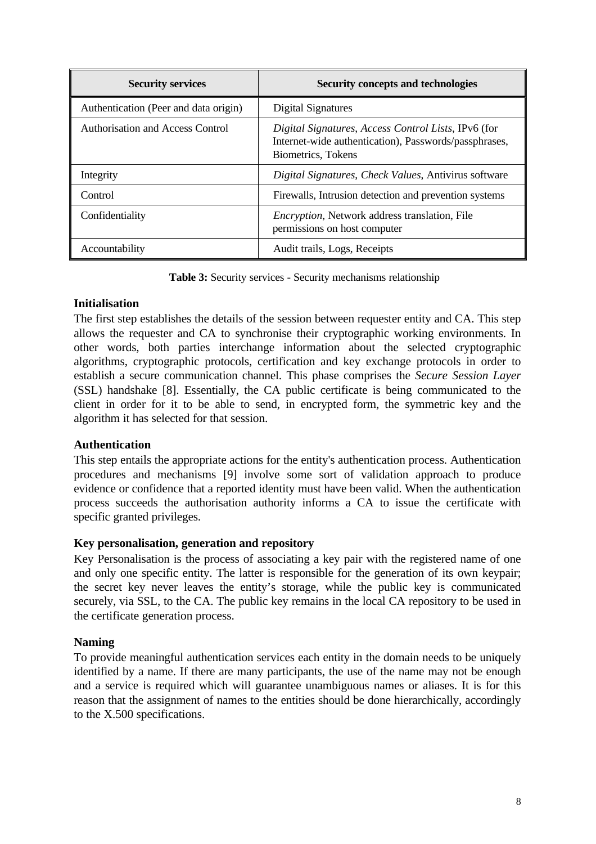| <b>Security services</b>              | <b>Security concepts and technologies</b>                                                                                          |
|---------------------------------------|------------------------------------------------------------------------------------------------------------------------------------|
| Authentication (Peer and data origin) | Digital Signatures                                                                                                                 |
| Authorisation and Access Control      | Digital Signatures, Access Control Lists, IPv6 (for<br>Internet-wide authentication), Passwords/passphrases,<br>Biometrics, Tokens |
| Integrity                             | Digital Signatures, Check Values, Antivirus software                                                                               |
| Control                               | Firewalls, Intrusion detection and prevention systems                                                                              |
| Confidentiality                       | <i>Encryption</i> , Network address translation, File<br>permissions on host computer                                              |
| Accountability                        | Audit trails, Logs, Receipts                                                                                                       |

**Table 3:** Security services - Security mechanisms relationship

# **Initialisation**

The first step establishes the details of the session between requester entity and CA. This step allows the requester and CA to synchronise their cryptographic working environments. In other words, both parties interchange information about the selected cryptographic algorithms, cryptographic protocols, certification and key exchange protocols in order to establish a secure communication channel. This phase comprises the *Secure Session Layer* (SSL) handshake [8]. Essentially, the CA public certificate is being communicated to the client in order for it to be able to send, in encrypted form, the symmetric key and the algorithm it has selected for that session.

# **Authentication**

This step entails the appropriate actions for the entity's authentication process. Authentication procedures and mechanisms [9] involve some sort of validation approach to produce evidence or confidence that a reported identity must have been valid. When the authentication process succeeds the authorisation authority informs a CA to issue the certificate with specific granted privileges.

# **Key personalisation, generation and repository**

Key Personalisation is the process of associating a key pair with the registered name of one and only one specific entity. The latter is responsible for the generation of its own keypair; the secret key never leaves the entity's storage, while the public key is communicated securely, via SSL, to the CA. The public key remains in the local CA repository to be used in the certificate generation process.

# **Naming**

To provide meaningful authentication services each entity in the domain needs to be uniquely identified by a name. If there are many participants, the use of the name may not be enough and a service is required which will guarantee unambiguous names or aliases. It is for this reason that the assignment of names to the entities should be done hierarchically, accordingly to the X.500 specifications.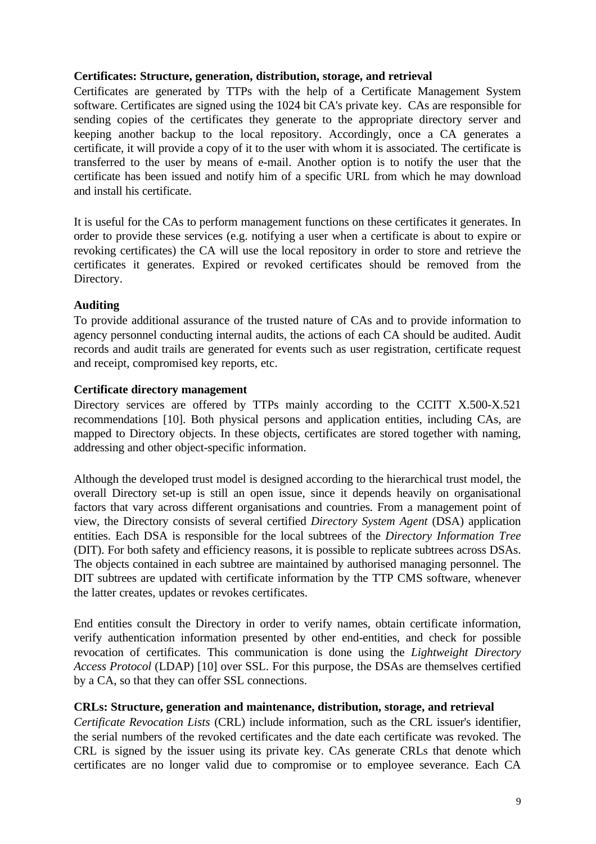#### **Certificates: Structure, generation, distribution, storage, and retrieval**

Certificates are generated by TTPs with the help of a Certificate Management System software. Certificates are signed using the 1024 bit CA's private key. CAs are responsible for sending copies of the certificates they generate to the appropriate directory server and keeping another backup to the local repository. Accordingly, once a CA generates a certificate, it will provide a copy of it to the user with whom it is associated. The certificate is transferred to the user by means of e-mail. Another option is to notify the user that the certificate has been issued and notify him of a specific URL from which he may download and install his certificate.

It is useful for the CAs to perform management functions on these certificates it generates. In order to provide these services (e.g. notifying a user when a certificate is about to expire or revoking certificates) the CA will use the local repository in order to store and retrieve the certificates it generates. Expired or revoked certificates should be removed from the Directory.

## **Auditing**

To provide additional assurance of the trusted nature of CAs and to provide information to agency personnel conducting internal audits, the actions of each CA should be audited. Audit records and audit trails are generated for events such as user registration, certificate request and receipt, compromised key reports, etc.

#### **Certificate directory management**

Directory services are offered by TTPs mainly according to the CCITT X.500-X.521 recommendations [10]. Both physical persons and application entities, including CAs, are mapped to Directory objects. In these objects, certificates are stored together with naming, addressing and other object-specific information.

Although the developed trust model is designed according to the hierarchical trust model, the overall Directory set-up is still an open issue, since it depends heavily on organisational factors that vary across different organisations and countries. From a management point of view, the Directory consists of several certified *Directory System Agent* (DSA) application entities. Each DSA is responsible for the local subtrees of the *Directory Information Tree* (DIT). For both safety and efficiency reasons, it is possible to replicate subtrees across DSAs. The objects contained in each subtree are maintained by authorised managing personnel. The DIT subtrees are updated with certificate information by the TTP CMS software, whenever the latter creates, updates or revokes certificates.

End entities consult the Directory in order to verify names, obtain certificate information, verify authentication information presented by other end-entities, and check for possible revocation of certificates. This communication is done using the *Lightweight Directory Access Protocol* (LDAP) [10] over SSL. For this purpose, the DSAs are themselves certified by a CA, so that they can offer SSL connections.

#### **CRLs: Structure, generation and maintenance, distribution, storage, and retrieval**

*Certificate Revocation Lists* (CRL) include information, such as the CRL issuer's identifier, the serial numbers of the revoked certificates and the date each certificate was revoked. The CRL is signed by the issuer using its private key. CAs generate CRLs that denote which certificates are no longer valid due to compromise or to employee severance. Each CA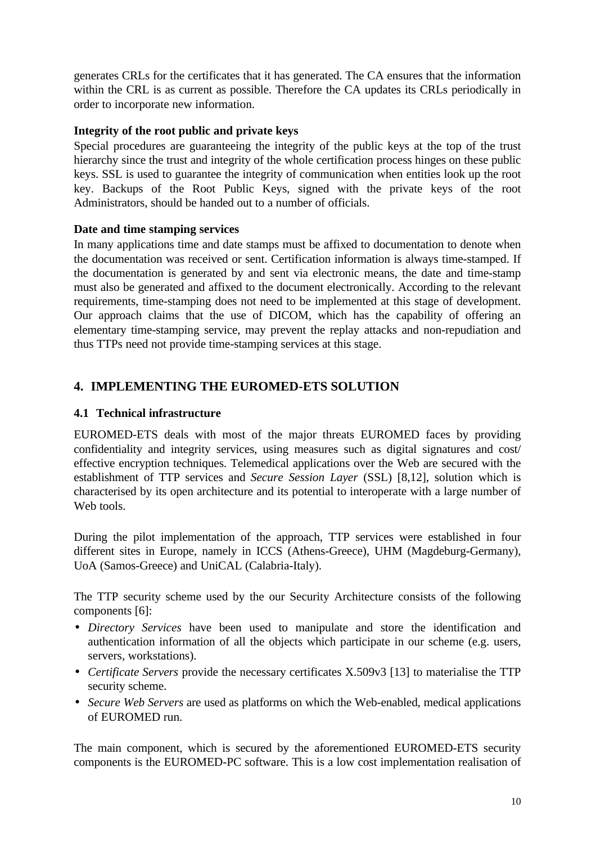generates CRLs for the certificates that it has generated. The CA ensures that the information within the CRL is as current as possible. Therefore the CA updates its CRLs periodically in order to incorporate new information.

# **Integrity of the root public and private keys**

Special procedures are guaranteeing the integrity of the public keys at the top of the trust hierarchy since the trust and integrity of the whole certification process hinges on these public keys. SSL is used to guarantee the integrity of communication when entities look up the root key. Backups of the Root Public Keys, signed with the private keys of the root Administrators, should be handed out to a number of officials.

# **Date and time stamping services**

In many applications time and date stamps must be affixed to documentation to denote when the documentation was received or sent. Certification information is always time-stamped. If the documentation is generated by and sent via electronic means, the date and time-stamp must also be generated and affixed to the document electronically. According to the relevant requirements, time-stamping does not need to be implemented at this stage of development. Our approach claims that the use of DICOM, which has the capability of offering an elementary time-stamping service, may prevent the replay attacks and non-repudiation and thus TTPs need not provide time-stamping services at this stage.

# **4. IMPLEMENTING THE EUROMED-ETS SOLUTION**

# **4.1 Technical infrastructure**

EUROMED-ETS deals with most of the major threats EUROMED faces by providing confidentiality and integrity services, using measures such as digital signatures and cost/ effective encryption techniques. Telemedical applications over the Web are secured with the establishment of TTP services and *Secure Session Layer* (SSL) [8,12], solution which is characterised by its open architecture and its potential to interoperate with a large number of Web tools.

During the pilot implementation of the approach, TTP services were established in four different sites in Europe, namely in ICCS (Athens-Greece), UHM (Magdeburg-Germany), UoA (Samos-Greece) and UniCAL (Calabria-Italy).

The TTP security scheme used by the our Security Architecture consists of the following components [6]:

- *Directory Services* have been used to manipulate and store the identification and authentication information of all the objects which participate in our scheme (e.g. users, servers, workstations).
- *Certificate Servers* provide the necessary certificates X.509v3 [13] to materialise the TTP security scheme.
- *Secure Web Servers* are used as platforms on which the Web-enabled, medical applications of EUROMED run.

The main component, which is secured by the aforementioned EUROMED-ETS security components is the EUROMED-PC software. This is a low cost implementation realisation of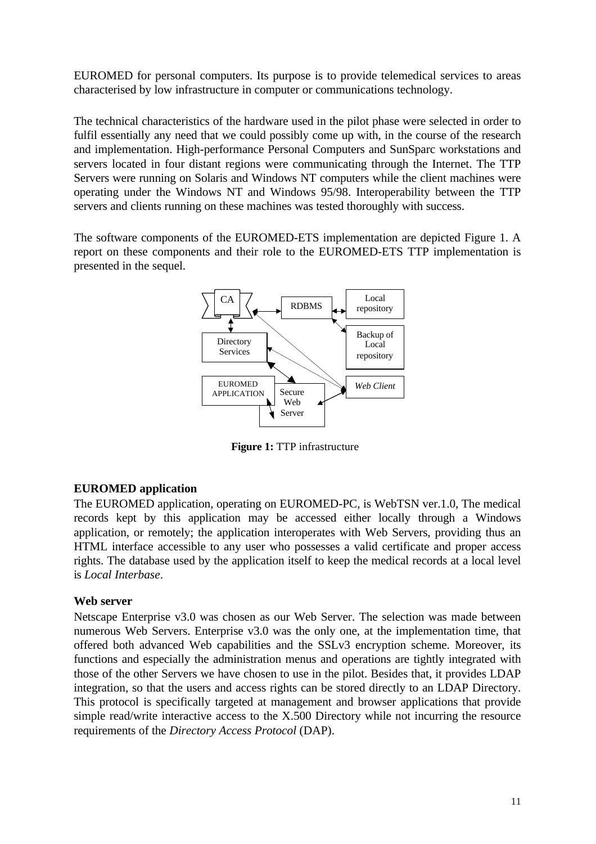EUROMED for personal computers. Its purpose is to provide telemedical services to areas characterised by low infrastructure in computer or communications technology.

The technical characteristics of the hardware used in the pilot phase were selected in order to fulfil essentially any need that we could possibly come up with, in the course of the research and implementation. High-performance Personal Computers and SunSparc workstations and servers located in four distant regions were communicating through the Internet. The TTP Servers were running on Solaris and Windows NT computers while the client machines were operating under the Windows NT and Windows 95/98. Interoperability between the TTP servers and clients running on these machines was tested thoroughly with success.

The software components of the EUROMED-ETS implementation are depicted Figure 1. A report on these components and their role to the EUROMED-ETS TTP implementation is presented in the sequel.



**Figure 1:** TTP infrastructure

#### **EUROMED application**

The EUROMED application, operating on EUROMED-PC, is WebTSN ver.1.0, The medical records kept by this application may be accessed either locally through a Windows application, or remotely; the application interoperates with Web Servers, providing thus an HTML interface accessible to any user who possesses a valid certificate and proper access rights. The database used by the application itself to keep the medical records at a local level is *Local Interbase*.

#### **Web server**

Netscape Enterprise v3.0 was chosen as our Web Server. The selection was made between numerous Web Servers. Enterprise v3.0 was the only one, at the implementation time, that offered both advanced Web capabilities and the SSLv3 encryption scheme. Moreover, its functions and especially the administration menus and operations are tightly integrated with those of the other Servers we have chosen to use in the pilot. Besides that, it provides LDAP integration, so that the users and access rights can be stored directly to an LDAP Directory. This protocol is specifically targeted at management and browser applications that provide simple read/write interactive access to the X.500 Directory while not incurring the resource requirements of the *Directory Access Protocol* (DAP).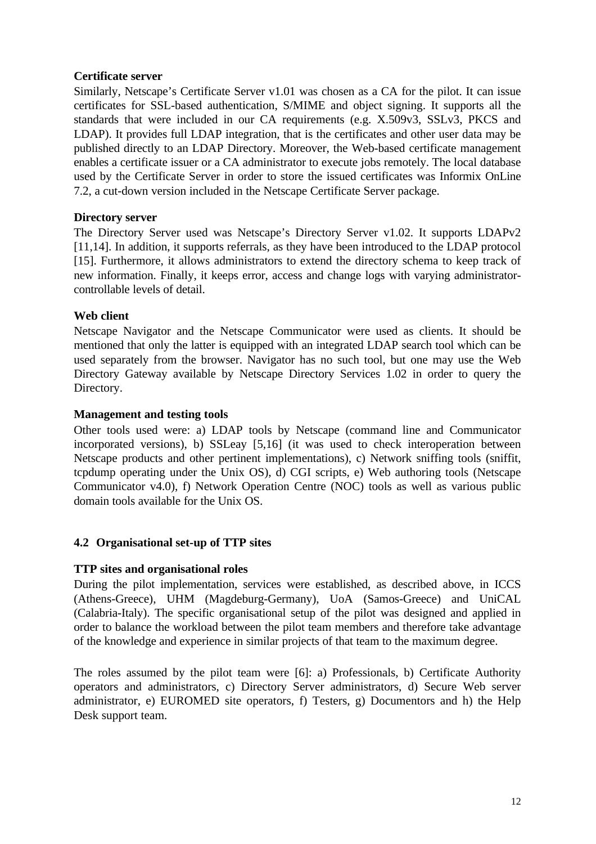#### **Certificate server**

Similarly, Netscape's Certificate Server v1.01 was chosen as a CA for the pilot. It can issue certificates for SSL-based authentication, S/MIME and object signing. It supports all the standards that were included in our CA requirements (e.g. X.509v3, SSLv3, PKCS and LDAP). It provides full LDAP integration, that is the certificates and other user data may be published directly to an LDAP Directory. Moreover, the Web-based certificate management enables a certificate issuer or a CA administrator to execute jobs remotely. The local database used by the Certificate Server in order to store the issued certificates was Informix OnLine 7.2, a cut-down version included in the Netscape Certificate Server package.

#### **Directory server**

The Directory Server used was Netscape's Directory Server v1.02. It supports LDAPv2 [11,14]. In addition, it supports referrals, as they have been introduced to the LDAP protocol [15]. Furthermore, it allows administrators to extend the directory schema to keep track of new information. Finally, it keeps error, access and change logs with varying administratorcontrollable levels of detail.

#### **Web client**

Netscape Navigator and the Netscape Communicator were used as clients. It should be mentioned that only the latter is equipped with an integrated LDAP search tool which can be used separately from the browser. Navigator has no such tool, but one may use the Web Directory Gateway available by Netscape Directory Services 1.02 in order to query the Directory.

#### **Management and testing tools**

Other tools used were: a) LDAP tools by Netscape (command line and Communicator incorporated versions), b) SSLeay [5,16] (it was used to check interoperation between Netscape products and other pertinent implementations), c) Network sniffing tools (sniffit, tcpdump operating under the Unix OS), d) CGI scripts, e) Web authoring tools (Netscape Communicator v4.0), f) Network Operation Centre (NOC) tools as well as various public domain tools available for the Unix OS.

## **4.2 Organisational set-up of TTP sites**

## **TTP sites and organisational roles**

During the pilot implementation, services were established, as described above, in ICCS (Athens-Greece), UHM (Magdeburg-Germany), UoA (Samos-Greece) and UniCAL (Calabria-Italy). The specific organisational setup of the pilot was designed and applied in order to balance the workload between the pilot team members and therefore take advantage of the knowledge and experience in similar projects of that team to the maximum degree.

The roles assumed by the pilot team were [6]: a) Professionals, b) Certificate Authority operators and administrators, c) Directory Server administrators, d) Secure Web server administrator, e) EUROMED site operators, f) Testers, g) Documentors and h) the Help Desk support team.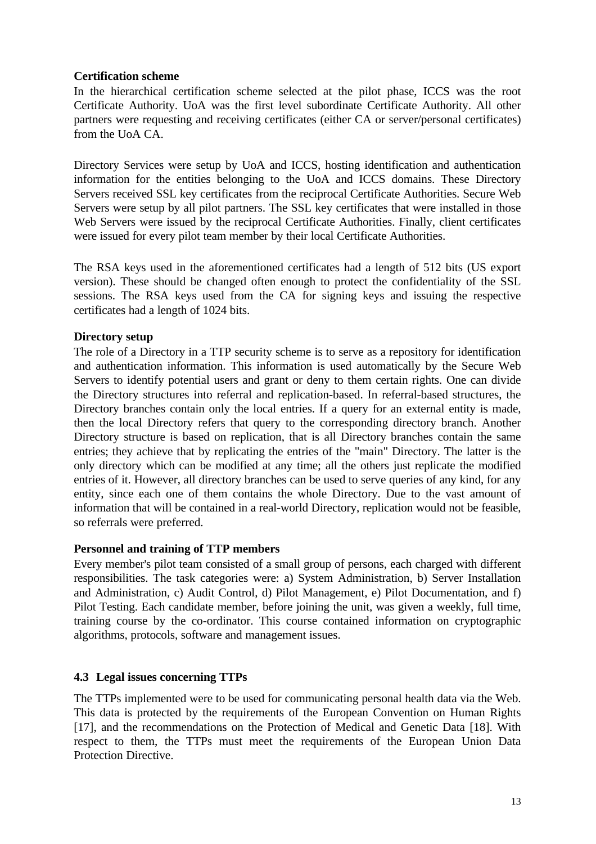#### **Certification scheme**

In the hierarchical certification scheme selected at the pilot phase, ICCS was the root Certificate Authority. UoA was the first level subordinate Certificate Authority. All other partners were requesting and receiving certificates (either CA or server/personal certificates) from the UoA CA.

Directory Services were setup by UoA and ICCS, hosting identification and authentication information for the entities belonging to the UoA and ICCS domains. These Directory Servers received SSL key certificates from the reciprocal Certificate Authorities. Secure Web Servers were setup by all pilot partners. The SSL key certificates that were installed in those Web Servers were issued by the reciprocal Certificate Authorities. Finally, client certificates were issued for every pilot team member by their local Certificate Authorities.

The RSA keys used in the aforementioned certificates had a length of 512 bits (US export version). These should be changed often enough to protect the confidentiality of the SSL sessions. The RSA keys used from the CA for signing keys and issuing the respective certificates had a length of 1024 bits.

#### **Directory setup**

The role of a Directory in a TTP security scheme is to serve as a repository for identification and authentication information. This information is used automatically by the Secure Web Servers to identify potential users and grant or deny to them certain rights. One can divide the Directory structures into referral and replication-based. In referral-based structures, the Directory branches contain only the local entries. If a query for an external entity is made, then the local Directory refers that query to the corresponding directory branch. Another Directory structure is based on replication, that is all Directory branches contain the same entries; they achieve that by replicating the entries of the "main" Directory. The latter is the only directory which can be modified at any time; all the others just replicate the modified entries of it. However, all directory branches can be used to serve queries of any kind, for any entity, since each one of them contains the whole Directory. Due to the vast amount of information that will be contained in a real-world Directory, replication would not be feasible, so referrals were preferred.

#### **Personnel and training of TTP members**

Every member's pilot team consisted of a small group of persons, each charged with different responsibilities. The task categories were: a) System Administration, b) Server Installation and Administration, c) Audit Control, d) Pilot Management, e) Pilot Documentation, and f) Pilot Testing. Each candidate member, before joining the unit, was given a weekly, full time, training course by the co-ordinator. This course contained information on cryptographic algorithms, protocols, software and management issues.

## **4.3 Legal issues concerning TTPs**

The TTPs implemented were to be used for communicating personal health data via the Web. This data is protected by the requirements of the European Convention on Human Rights [17], and the recommendations on the Protection of Medical and Genetic Data [18]. With respect to them, the TTPs must meet the requirements of the European Union Data Protection Directive.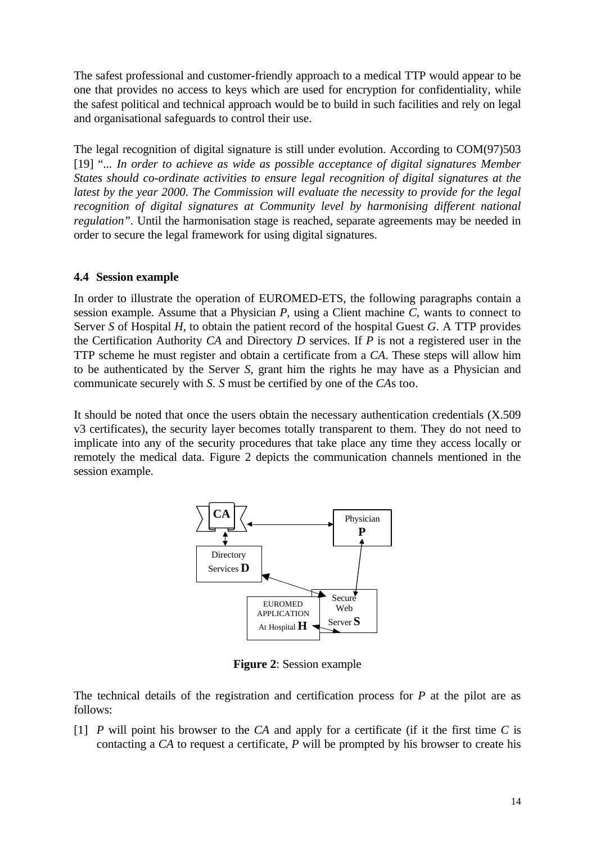The safest professional and customer-friendly approach to a medical TTP would appear to be one that provides no access to keys which are used for encryption for confidentiality, while the safest political and technical approach would be to build in such facilities and rely on legal and organisational safeguards to control their use.

The legal recognition of digital signature is still under evolution. According to COM(97)503 [19] "*... In order to achieve as wide as possible acceptance of digital signatures Member States should co-ordinate activities to ensure legal recognition of digital signatures at the latest by the year 2000. The Commission will evaluate the necessity to provide for the legal recognition of digital signatures at Community level by harmonising different national regulation*". Until the harmonisation stage is reached, separate agreements may be needed in order to secure the legal framework for using digital signatures.

#### **4.4 Session example**

In order to illustrate the operation of EUROMED-ETS, the following paragraphs contain a session example. Assume that a Physician *P*, using a Client machine *C*, wants to connect to Server *S* of Hospital *H*, to obtain the patient record of the hospital Guest *G*. A TTP provides the Certification Authority *CA* and Directory *D* services. If *P* is not a registered user in the TTP scheme he must register and obtain a certificate from a *CA*. These steps will allow him to be authenticated by the Server *S*, grant him the rights he may have as a Physician and communicate securely with *S*. *S* must be certified by one of the *CA*s too.

It should be noted that once the users obtain the necessary authentication credentials (X.509 v3 certificates), the security layer becomes totally transparent to them. They do not need to implicate into any of the security procedures that take place any time they access locally or remotely the medical data. Figure 2 depicts the communication channels mentioned in the session example.



**Figure 2**: Session example

The technical details of the registration and certification process for *P* at the pilot are as follows:

[1] *P* will point his browser to the *CA* and apply for a certificate (if it the first time *C* is contacting a *CA* to request a certificate, *P* will be prompted by his browser to create his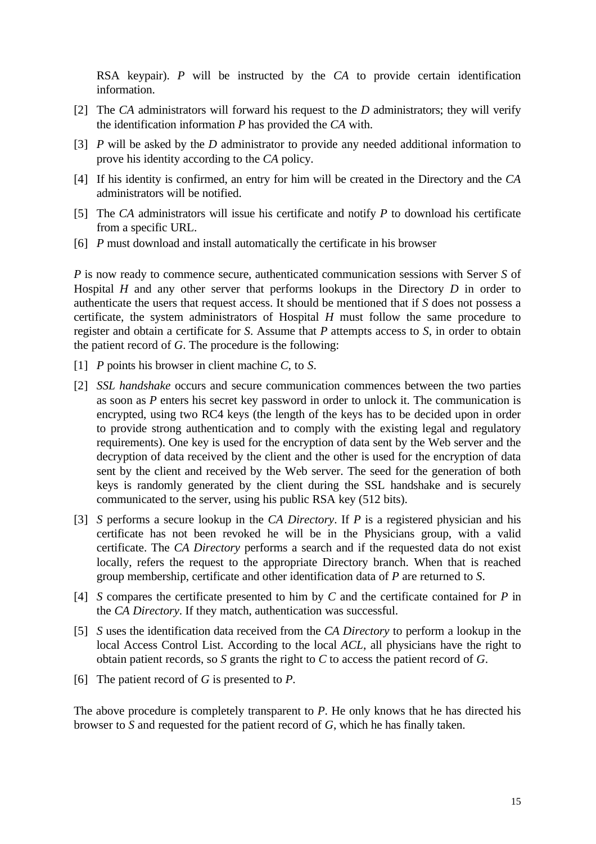RSA keypair). *P* will be instructed by the *CA* to provide certain identification information.

- [2] The *CA* administrators will forward his request to the *D* administrators; they will verify the identification information *P* has provided the *CA* with.
- [3] *P* will be asked by the *D* administrator to provide any needed additional information to prove his identity according to the *CA* policy.
- [4] If his identity is confirmed, an entry for him will be created in the Directory and the *CA* administrators will be notified.
- [5] The *CA* administrators will issue his certificate and notify *P* to download his certificate from a specific URL.
- [6] *P* must download and install automatically the certificate in his browser

*P* is now ready to commence secure, authenticated communication sessions with Server *S* of Hospital *H* and any other server that performs lookups in the Directory *D* in order to authenticate the users that request access. It should be mentioned that if *S* does not possess a certificate, the system administrators of Hospital *H* must follow the same procedure to register and obtain a certificate for *S*. Assume that *P* attempts access to *S*, in order to obtain the patient record of *G*. The procedure is the following:

- [1] *P* points his browser in client machine *C*, to *S*.
- [2] *SSL handshake* occurs and secure communication commences between the two parties as soon as *P* enters his secret key password in order to unlock it. The communication is encrypted, using two RC4 keys (the length of the keys has to be decided upon in order to provide strong authentication and to comply with the existing legal and regulatory requirements). One key is used for the encryption of data sent by the Web server and the decryption of data received by the client and the other is used for the encryption of data sent by the client and received by the Web server. The seed for the generation of both keys is randomly generated by the client during the SSL handshake and is securely communicated to the server, using his public RSA key (512 bits).
- [3] *S* performs a secure lookup in the *CA Directory*. If *P* is a registered physician and his certificate has not been revoked he will be in the Physicians group, with a valid certificate. The *CA Directory* performs a search and if the requested data do not exist locally, refers the request to the appropriate Directory branch. When that is reached group membership, certificate and other identification data of *P* are returned to *S*.
- [4] *S* compares the certificate presented to him by *C* and the certificate contained for *P* in the *CA Directory*. If they match, authentication was successful.
- [5] *S* uses the identification data received from the *CA Directory* to perform a lookup in the local Access Control List. According to the local *ACL*, all physicians have the right to obtain patient records, so *S* grants the right to *C* to access the patient record of *G*.
- [6] The patient record of *G* is presented to *P*.

The above procedure is completely transparent to *P*. He only knows that he has directed his browser to *S* and requested for the patient record of *G*, which he has finally taken.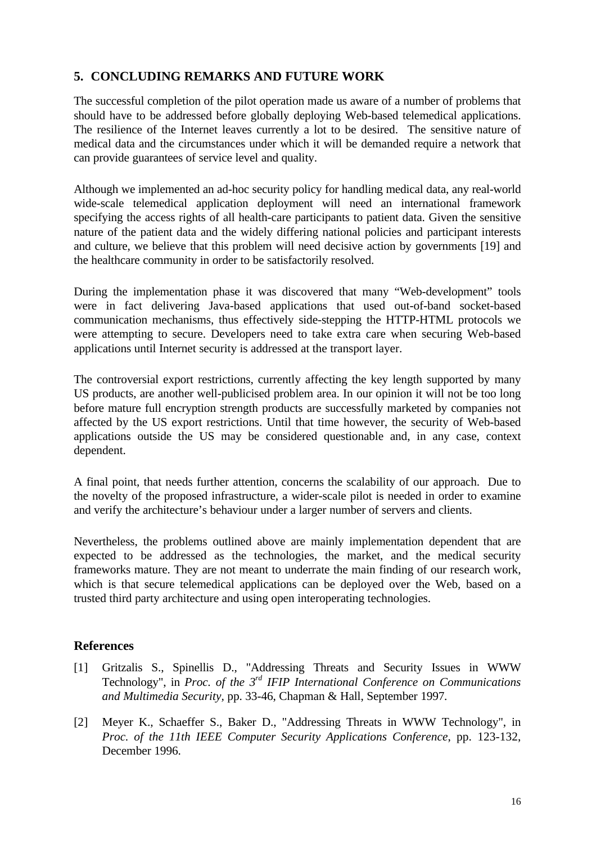# **5. CONCLUDING REMARKS AND FUTURE WORK**

The successful completion of the pilot operation made us aware of a number of problems that should have to be addressed before globally deploying Web-based telemedical applications. The resilience of the Internet leaves currently a lot to be desired. The sensitive nature of medical data and the circumstances under which it will be demanded require a network that can provide guarantees of service level and quality.

Although we implemented an ad-hoc security policy for handling medical data, any real-world wide-scale telemedical application deployment will need an international framework specifying the access rights of all health-care participants to patient data. Given the sensitive nature of the patient data and the widely differing national policies and participant interests and culture, we believe that this problem will need decisive action by governments [19] and the healthcare community in order to be satisfactorily resolved.

During the implementation phase it was discovered that many "Web-development" tools were in fact delivering Java-based applications that used out-of-band socket-based communication mechanisms, thus effectively side-stepping the HTTP-HTML protocols we were attempting to secure. Developers need to take extra care when securing Web-based applications until Internet security is addressed at the transport layer.

The controversial export restrictions, currently affecting the key length supported by many US products, are another well-publicised problem area. In our opinion it will not be too long before mature full encryption strength products are successfully marketed by companies not affected by the US export restrictions. Until that time however, the security of Web-based applications outside the US may be considered questionable and, in any case, context dependent.

A final point, that needs further attention, concerns the scalability of our approach. Due to the novelty of the proposed infrastructure, a wider-scale pilot is needed in order to examine and verify the architecture's behaviour under a larger number of servers and clients.

Nevertheless, the problems outlined above are mainly implementation dependent that are expected to be addressed as the technologies, the market, and the medical security frameworks mature. They are not meant to underrate the main finding of our research work, which is that secure telemedical applications can be deployed over the Web, based on a trusted third party architecture and using open interoperating technologies.

# **References**

- [1] Gritzalis S., Spinellis D., "Addressing Threats and Security Issues in WWW Technology", in *Proc. of the 3rd IFIP International Conference on Communications and Multimedia Security,* pp. 33-46, Chapman & Hall, September 1997*.*
- [2] Meyer K., Schaeffer S., Baker D., "Addressing Threats in WWW Technology", in *Proc. of the 11th IEEE Computer Security Applications Conference*, pp. 123-132, December 1996.